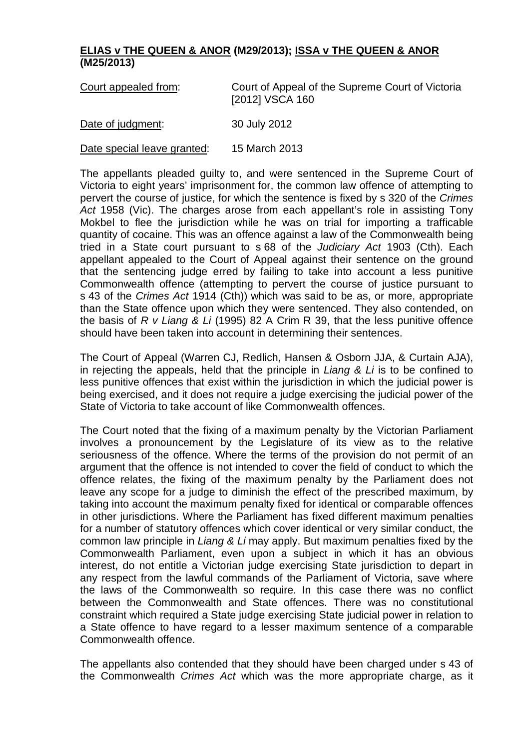## **ELIAS v THE QUEEN & ANOR (M29/2013); ISSA v THE QUEEN & ANOR (M25/2013)**

| Court appealed from:        | Court of Appeal of the Supreme Court of Victoria<br>[2012] VSCA 160 |
|-----------------------------|---------------------------------------------------------------------|
| Date of judgment:           | 30 July 2012                                                        |
| Date special leave granted: | 15 March 2013                                                       |

The appellants pleaded guilty to, and were sentenced in the Supreme Court of Victoria to eight years' imprisonment for, the common law offence of attempting to pervert the course of justice, for which the sentence is fixed by s 320 of the *Crimes Act* 1958 (Vic). The charges arose from each appellant's role in assisting Tony Mokbel to flee the jurisdiction while he was on trial for importing a trafficable quantity of cocaine. This was an offence against a law of the Commonwealth being tried in a State court pursuant to s 68 of the *Judiciary Act* 1903 (Cth). Each appellant appealed to the Court of Appeal against their sentence on the ground that the sentencing judge erred by failing to take into account a less punitive Commonwealth offence (attempting to pervert the course of justice pursuant to s 43 of the *Crimes Act* 1914 (Cth)) which was said to be as, or more, appropriate than the State offence upon which they were sentenced. They also contended, on the basis of *R v Liang & Li* (1995) 82 A Crim R 39, that the less punitive offence should have been taken into account in determining their sentences.

The Court of Appeal (Warren CJ, Redlich, Hansen & Osborn JJA, & Curtain AJA), in rejecting the appeals, held that the principle in *Liang & Li* is to be confined to less punitive offences that exist within the jurisdiction in which the judicial power is being exercised, and it does not require a judge exercising the judicial power of the State of Victoria to take account of like Commonwealth offences.

The Court noted that the fixing of a maximum penalty by the Victorian Parliament involves a pronouncement by the Legislature of its view as to the relative seriousness of the offence. Where the terms of the provision do not permit of an argument that the offence is not intended to cover the field of conduct to which the offence relates, the fixing of the maximum penalty by the Parliament does not leave any scope for a judge to diminish the effect of the prescribed maximum, by taking into account the maximum penalty fixed for identical or comparable offences in other jurisdictions. Where the Parliament has fixed different maximum penalties for a number of statutory offences which cover identical or very similar conduct, the common law principle in *Liang & Li* may apply. But maximum penalties fixed by the Commonwealth Parliament, even upon a subject in which it has an obvious interest, do not entitle a Victorian judge exercising State jurisdiction to depart in any respect from the lawful commands of the Parliament of Victoria, save where the laws of the Commonwealth so require. In this case there was no conflict between the Commonwealth and State offences. There was no constitutional constraint which required a State judge exercising State judicial power in relation to a State offence to have regard to a lesser maximum sentence of a comparable Commonwealth offence.

The appellants also contended that they should have been charged under s 43 of the Commonwealth *Crimes Act* which was the more appropriate charge, as it